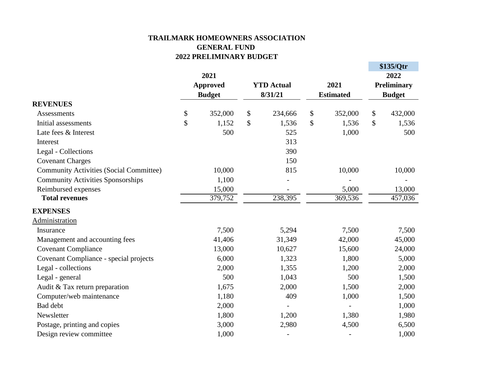## **TRAILMARK HOMEOWNERS ASSOCIATION GENERAL FUND 2022 PRELIMINARY BUDGET**

 $\uparrow$   $\uparrow$  125/ $\Omega$ <sub>tr</sub>

|  |                                                                                 |                                                                                                                                         |          |                                                                                                                                                                                          |                |                                                                                                                                                                               | JJJJUU<br>2022     |  |
|--|---------------------------------------------------------------------------------|-----------------------------------------------------------------------------------------------------------------------------------------|----------|------------------------------------------------------------------------------------------------------------------------------------------------------------------------------------------|----------------|-------------------------------------------------------------------------------------------------------------------------------------------------------------------------------|--------------------|--|
|  | 2021<br><b>Approved</b><br><b>Budget</b><br>\$<br>352,000<br>\$<br>1,152<br>500 |                                                                                                                                         |          |                                                                                                                                                                                          |                |                                                                                                                                                                               | <b>Preliminary</b> |  |
|  |                                                                                 |                                                                                                                                         |          |                                                                                                                                                                                          |                | <b>Budget</b>                                                                                                                                                                 |                    |  |
|  |                                                                                 |                                                                                                                                         |          |                                                                                                                                                                                          |                |                                                                                                                                                                               |                    |  |
|  |                                                                                 |                                                                                                                                         |          |                                                                                                                                                                                          |                |                                                                                                                                                                               | 432,000            |  |
|  |                                                                                 |                                                                                                                                         |          |                                                                                                                                                                                          |                |                                                                                                                                                                               | 1,536              |  |
|  |                                                                                 |                                                                                                                                         |          |                                                                                                                                                                                          |                |                                                                                                                                                                               | 500                |  |
|  |                                                                                 |                                                                                                                                         |          |                                                                                                                                                                                          |                |                                                                                                                                                                               |                    |  |
|  |                                                                                 |                                                                                                                                         |          |                                                                                                                                                                                          |                |                                                                                                                                                                               |                    |  |
|  |                                                                                 |                                                                                                                                         |          |                                                                                                                                                                                          |                |                                                                                                                                                                               |                    |  |
|  |                                                                                 |                                                                                                                                         |          |                                                                                                                                                                                          |                |                                                                                                                                                                               | 10,000             |  |
|  |                                                                                 |                                                                                                                                         |          |                                                                                                                                                                                          |                |                                                                                                                                                                               |                    |  |
|  |                                                                                 |                                                                                                                                         |          |                                                                                                                                                                                          |                |                                                                                                                                                                               | 13,000             |  |
|  |                                                                                 |                                                                                                                                         |          |                                                                                                                                                                                          |                |                                                                                                                                                                               | 457,036            |  |
|  |                                                                                 |                                                                                                                                         |          |                                                                                                                                                                                          |                |                                                                                                                                                                               |                    |  |
|  |                                                                                 |                                                                                                                                         |          |                                                                                                                                                                                          |                |                                                                                                                                                                               |                    |  |
|  |                                                                                 |                                                                                                                                         |          |                                                                                                                                                                                          |                |                                                                                                                                                                               | 7,500              |  |
|  |                                                                                 |                                                                                                                                         |          |                                                                                                                                                                                          |                |                                                                                                                                                                               | 45,000             |  |
|  |                                                                                 |                                                                                                                                         |          |                                                                                                                                                                                          |                |                                                                                                                                                                               | 24,000             |  |
|  |                                                                                 |                                                                                                                                         |          |                                                                                                                                                                                          |                |                                                                                                                                                                               | 5,000              |  |
|  |                                                                                 |                                                                                                                                         |          |                                                                                                                                                                                          |                |                                                                                                                                                                               | 2,000              |  |
|  |                                                                                 |                                                                                                                                         |          |                                                                                                                                                                                          |                |                                                                                                                                                                               | 1,500              |  |
|  |                                                                                 |                                                                                                                                         |          |                                                                                                                                                                                          |                |                                                                                                                                                                               | 2,000              |  |
|  |                                                                                 |                                                                                                                                         |          |                                                                                                                                                                                          |                |                                                                                                                                                                               | 1,500              |  |
|  |                                                                                 |                                                                                                                                         |          |                                                                                                                                                                                          | $\overline{a}$ |                                                                                                                                                                               | 1,000              |  |
|  |                                                                                 |                                                                                                                                         |          |                                                                                                                                                                                          |                |                                                                                                                                                                               | 1,980              |  |
|  |                                                                                 |                                                                                                                                         |          |                                                                                                                                                                                          |                |                                                                                                                                                                               | 6,500              |  |
|  | 1,000                                                                           |                                                                                                                                         |          |                                                                                                                                                                                          |                |                                                                                                                                                                               | 1,000              |  |
|  |                                                                                 | 10,000<br>1,100<br>15,000<br>379,752<br>7,500<br>41,406<br>13,000<br>6,000<br>2,000<br>500<br>1,675<br>1,180<br>2,000<br>1,800<br>3,000 | \$<br>\$ | <b>YTD</b> Actual<br>8/31/21<br>234,666<br>1,536<br>525<br>313<br>390<br>150<br>815<br>238,395<br>5,294<br>31,349<br>10,627<br>1,323<br>1,355<br>1,043<br>2,000<br>409<br>1,200<br>2,980 | \$<br>\$       | 2021<br><b>Estimated</b><br>352,000<br>1,536<br>1,000<br>10,000<br>5,000<br>369,536<br>7,500<br>42,000<br>15,600<br>1,800<br>1,200<br>500<br>1,500<br>1,000<br>1,380<br>4,500 | \$<br>\$           |  |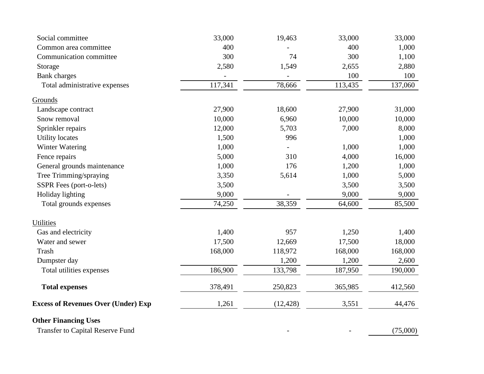| Social committee                           | 33,000  | 19,463    | 33,000  | 33,000   |
|--------------------------------------------|---------|-----------|---------|----------|
| Common area committee                      | 400     |           | 400     | 1,000    |
| Communication committee                    | 300     | 74        | 300     | 1,100    |
| Storage                                    | 2,580   | 1,549     | 2,655   | 2,880    |
| <b>Bank</b> charges                        |         |           | 100     | 100      |
| Total administrative expenses              | 117,341 | 78,666    | 113,435 | 137,060  |
| Grounds                                    |         |           |         |          |
| Landscape contract                         | 27,900  | 18,600    | 27,900  | 31,000   |
| Snow removal                               | 10,000  | 6,960     | 10,000  | 10,000   |
| Sprinkler repairs                          | 12,000  | 5,703     | 7,000   | 8,000    |
| <b>Utility locates</b>                     | 1,500   | 996       |         | 1,000    |
| Winter Watering                            | 1,000   |           | 1,000   | 1,000    |
| Fence repairs                              | 5,000   | 310       | 4,000   | 16,000   |
| General grounds maintenance                | 1,000   | 176       | 1,200   | 1,000    |
| Tree Trimming/spraying                     | 3,350   | 5,614     | 1,000   | 5,000    |
| SSPR Fees (port-o-lets)                    | 3,500   |           | 3,500   | 3,500    |
| Holiday lighting                           | 9,000   |           | 9,000   | 9,000    |
| Total grounds expenses                     | 74,250  | 38,359    | 64,600  | 85,500   |
| Utilities                                  |         |           |         |          |
| Gas and electricity                        | 1,400   | 957       | 1,250   | 1,400    |
| Water and sewer                            | 17,500  | 12,669    | 17,500  | 18,000   |
| Trash                                      | 168,000 | 118,972   | 168,000 | 168,000  |
| Dumpster day                               |         | 1,200     | 1,200   | 2,600    |
| Total utilities expenses                   | 186,900 | 133,798   | 187,950 | 190,000  |
| <b>Total expenses</b>                      | 378,491 | 250,823   | 365,985 | 412,560  |
| <b>Excess of Revenues Over (Under) Exp</b> | 1,261   | (12, 428) | 3,551   | 44,476   |
| <b>Other Financing Uses</b>                |         |           |         |          |
| <b>Transfer to Capital Reserve Fund</b>    |         |           |         | (75,000) |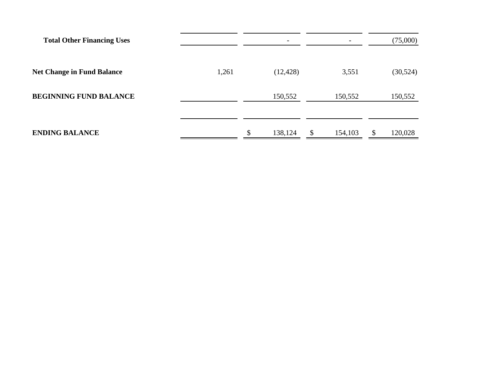| <b>Total Other Financing Uses</b> |       |               |               | (75,000)      |
|-----------------------------------|-------|---------------|---------------|---------------|
| <b>Net Change in Fund Balance</b> | 1,261 | (12, 428)     | 3,551         | (30, 524)     |
| <b>BEGINNING FUND BALANCE</b>     |       | 150,552       | 150,552       | 150,552       |
| <b>ENDING BALANCE</b>             |       | \$<br>138,124 | 154,103<br>\$ | 120,028<br>\$ |